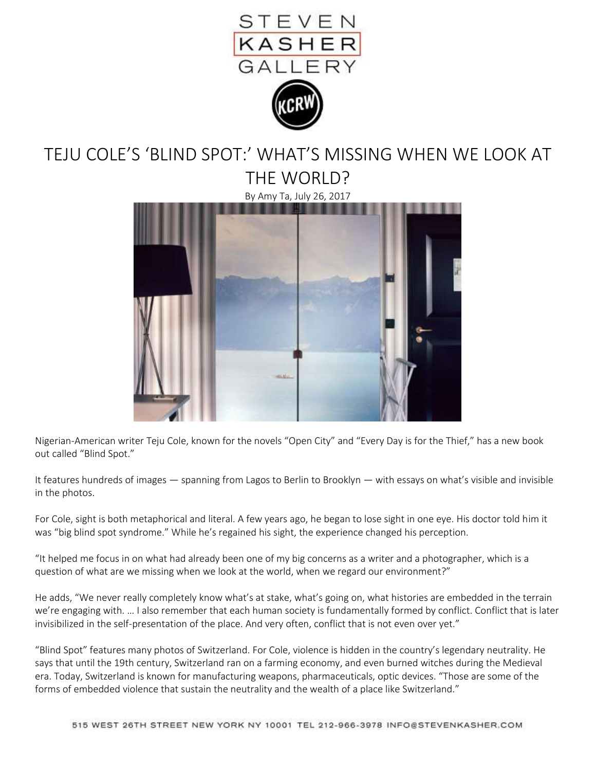

## TEJU COLE'S 'BLIND SPOT:' WHAT'S MISSING WHEN WE LOOK AT THE WORLD?

By Amy Ta, July 26, 2017



Nigerian-American writer Teju Cole, known for the novels "Open City" and "Every Day is for the Thief," has a new book out called "Blind Spot."

It features hundreds of images — spanning from Lagos to Berlin to Brooklyn — with essays on what's visible and invisible in the photos.

For Cole, sight is both metaphorical and literal. A few years ago, he began to lose sight in one eye. His doctor told him it was "big blind spot syndrome." While he's regained his sight, the experience changed his perception.

"It helped me focus in on what had already been one of my big concerns as a writer and a photographer, which is a question of what are we missing when we look at the world, when we regard our environment?"

He adds, "We never really completely know what's at stake, what's going on, what histories are embedded in the terrain we're engaging with. … I also remember that each human society is fundamentally formed by conflict. Conflict that is later invisibilized in the self-presentation of the place. And very often, conflict that is not even over yet."

"Blind Spot" features many photos of Switzerland. For Cole, violence is hidden in the country's legendary neutrality. He says that until the 19th century, Switzerland ran on a farming economy, and even burned witches during the Medieval era. Today, Switzerland is known for manufacturing weapons, pharmaceuticals, optic devices. "Those are some of the forms of embedded violence that sustain the neutrality and the wealth of a place like Switzerland."